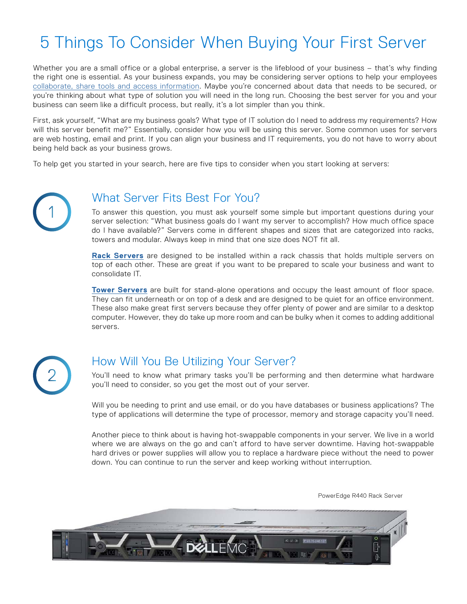# 5 Things To Consider When Buying Your First Server

Whether you are a small office or a global enterprise, a server is the lifeblood of your business – that's why finding the right one is essential. As your business expands, you may be considering server options to help your employees [collaborate, share tools and access information.](https://blog.dell.com/en-us/how-to-know-when-your-small-business-is-ready-for-a-server/) Maybe you're concerned about data that needs to be secured, or you're thinking about what type of solution you will need in the long run. Choosing the best server for you and your business can seem like a difficult process, but really, it's a lot simpler than you think.

First, ask yourself, "What are my business goals? What type of IT solution do I need to address my requirements? How will this server benefit me?" Essentially, consider how you will be using this server. Some common uses for servers are web hosting, email and print. If you can align your business and IT requirements, you do not have to worry about being held back as your business grows.

To help get you started in your search, here are five tips to consider when you start looking at servers:



#### What Server Fits Best For You?

To answer this question, you must ask yourself some simple but important questions during your server selection: "What business goals do I want my server to accomplish? How much office space do I have available?" Servers come in different shapes and sizes that are categorized into racks, towers and modular. Always keep in mind that one size does NOT fit all.

**[Rack Servers](https://www.dell.com/en-us/work/shop/dell-poweredge-servers/sc/servers/poweredge-rack-servers)** are designed to be installed within a rack chassis that holds multiple servers on top of each other. These are great if you want to be prepared to scale your business and want to consolidate IT.

**[Tower Servers](https://www.dell.com/en-us/work/shop/dell-poweredge-servers/sc/servers/poweredge-tower-servers)** are built for stand-alone operations and occupy the least amount of floor space. They can fit underneath or on top of a desk and are designed to be quiet for an office environment. These also make great first servers because they offer plenty of power and are similar to a desktop computer. However, they do take up more room and can be bulky when it comes to adding additional servers.



#### How Will You Be Utilizing Your Server?

You'll need to know what primary tasks you'll be performing and then determine what hardware you'll need to consider, so you get the most out of your server.

Will you be needing to print and use email, or do you have databases or business applications? The type of applications will determine the type of processor, memory and storage capacity you'll need.

Another piece to think about is having hot-swappable components in your server. We live in a world where we are always on the go and can't afford to have server downtime. Having hot-swappable hard drives or power supplies will allow you to replace a hardware piece without the need to power down. You can continue to run the server and keep working without interruption.

PowerEdge R440 Rack Server